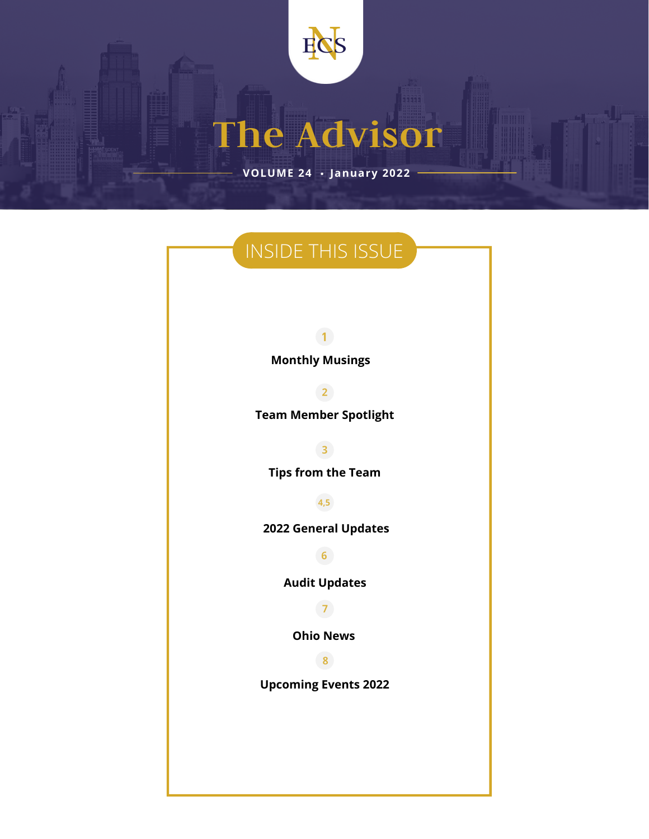

**The Advisor**

. **January <sup>2022</sup> VOLUME 24**

### INSIDE THIS ISSUE

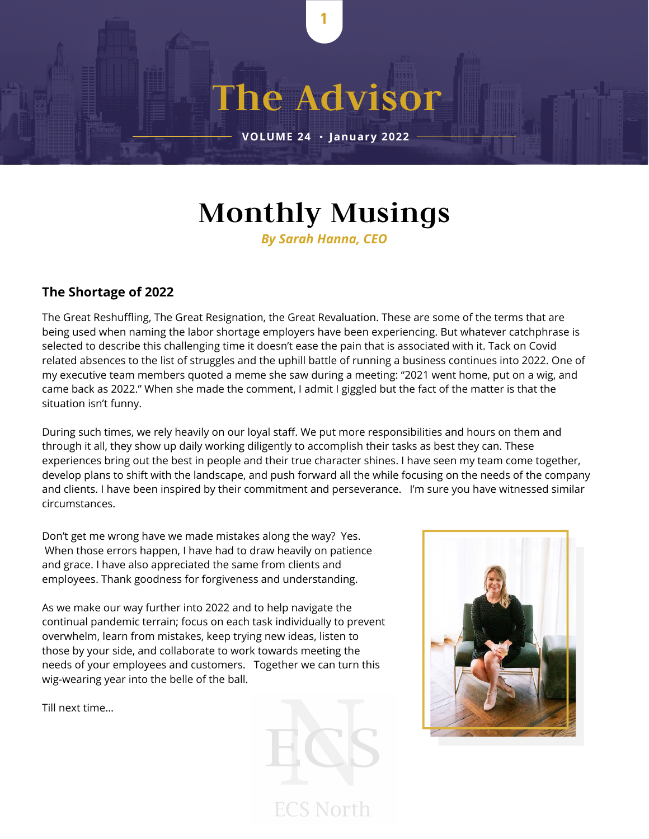## **Monthly Musings**

1

**The Advisor**

**VOLUME <sup>24</sup>** . **January <sup>2022</sup>**

*By Sarah Hanna, CEO*

#### **The Shortage of 2022**

The Great Reshuffling, The Great Resignation, the Great Revaluation. These are some of the terms that are being used when naming the labor shortage employers have been experiencing. But whatever catchphrase is selected to describe this challenging time it doesn't ease the pain that is associated with it. Tack on Covid related absences to the list of struggles and the uphill battle of running a business continues into 2022. One of my executive team members quoted a meme she saw during a meeting: "2021 went home, put on a wig, and came back as 2022." When she made the comment, I admit I giggled but the fact of the matter is that the situation isn't funny.

During such times, we rely heavily on our loyal staff. We put more responsibilities and hours on them and through it all, they show up daily working diligently to accomplish their tasks as best they can. These experiences bring out the best in people and their true character shines. I have seen my team come together, develop plans to shift with the landscape, and push forward all the while focusing on the needs of the company and clients. I have been inspired by their commitment and perseverance. I'm sure you have witnessed similar circumstances.

Don't get me wrong have we made mistakes along the way? Yes. When those errors happen, I have had to draw heavily on patience and grace. I have also appreciated the same from clients and employees. Thank goodness for forgiveness and understanding.

As we make our way further into 2022 and to help navigate the continual pandemic terrain; focus on each task individually to prevent overwhelm, learn from mistakes, keep trying new ideas, listen to those by your side, and collaborate to work towards meeting the needs of your employees and customers. Together we can turn this wig-wearing year into the belle of the ball.

Till next time…

**ECS North** 

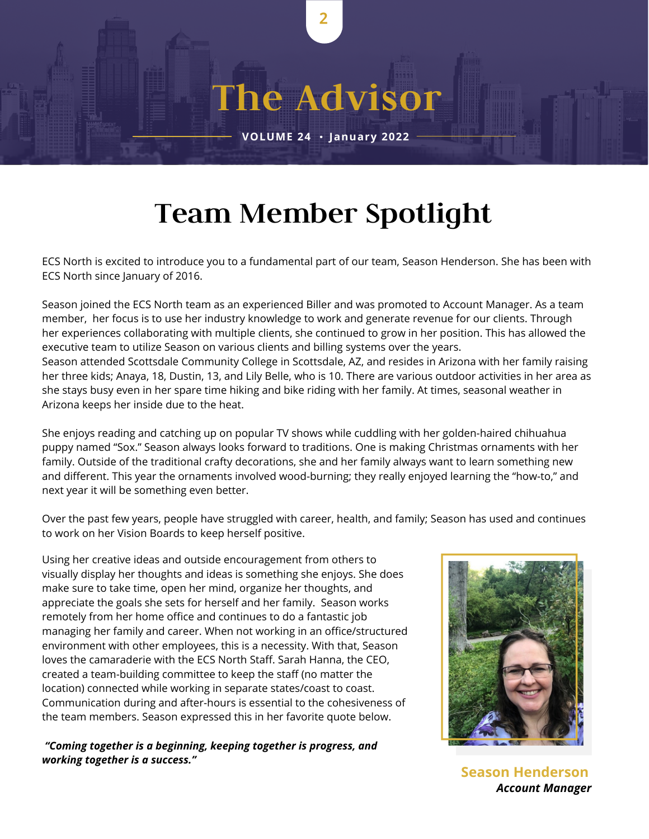### **Team Member Spotlight**

2

**The Advisor**

**VOLUME <sup>24</sup>** . **January <sup>2022</sup>**

ECS North is excited to introduce you to a fundamental part of our team, Season Henderson. She has been with ECS North since January of 2016.

Season joined the ECS North team as an experienced Biller and was promoted to Account Manager. As a team member, her focus is to use her industry knowledge to work and generate revenue for our clients. Through her experiences collaborating with multiple clients, she continued to grow in her position. This has allowed the executive team to utilize Season on various clients and billing systems over the years. Season attended Scottsdale Community College in Scottsdale, AZ, and resides in Arizona with her family raising her three kids; Anaya, 18, Dustin, 13, and Lily Belle, who is 10. There are various outdoor activities in her area as she stays busy even in her spare time hiking and bike riding with her family. At times, seasonal weather in Arizona keeps her inside due to the heat.

She enjoys reading and catching up on popular TV shows while cuddling with her golden-haired chihuahua puppy named "Sox." Season always looks forward to traditions. One is making Christmas ornaments with her family. Outside of the traditional crafty decorations, she and her family always want to learn something new and different. This year the ornaments involved wood-burning; they really enjoyed learning the "how-to," and next year it will be something even better.

Over the past few years, people have struggled with career, health, and family; Season has used and continues to work on her Vision Boards to keep herself positive.

Using her creative ideas and outside encouragement from others to visually display her thoughts and ideas is something she enjoys. She does make sure to take time, open her mind, organize her thoughts, and appreciate the goals she sets for herself and her family. Season works remotely from her home office and continues to do a fantastic job managing her family and career. When not working in an office/structured environment with other employees, this is a necessity. With that, Season loves the camaraderie with the ECS North Staff. Sarah Hanna, the CEO, created a team-building committee to keep the staff (no matter the location) connected while working in separate states/coast to coast. Communication during and after-hours is essential to the cohesiveness of the team members. Season expressed this in her favorite quote below.

#### *"Coming together is a beginning, keeping together is progress, and working together is a success."*



**Season Henderson** *Account Manager*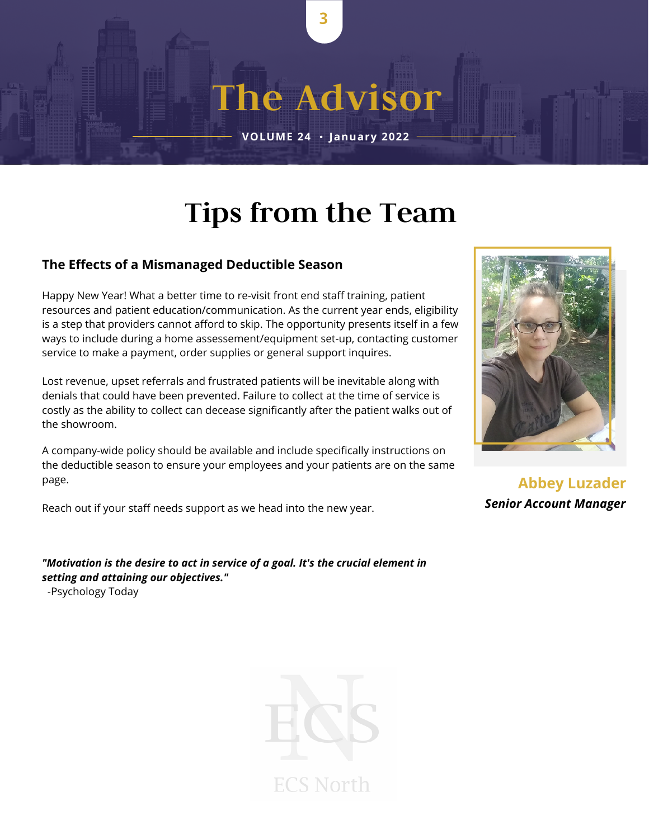### **Tips from the Team**

3

**The Advisor**

**VOLUME <sup>24</sup>** . **January <sup>2022</sup>**

#### **The Effects of a Mismanaged Deductible Season**

Happy New Year! What a better time to re-visit front end staff training, patient resources and patient education/communication. As the current year ends, eligibility is a step that providers cannot afford to skip. The opportunity presents itself in a few ways to include during a home assessement/equipment set-up, contacting customer service to make a payment, order supplies or general support inquires.

Lost revenue, upset referrals and frustrated patients will be inevitable along with denials that could have been prevented. Failure to collect at the time of service is costly as the ability to collect can decease significantly after the patient walks out of the showroom.

A company-wide policy should be available and include specifically instructions on the deductible season to ensure your employees and your patients are on the same page.

Reach out if your staff needs support as we head into the new year.

*"Motivation is the desire to act in service of a goal. It's the crucial element in setting and attaining our objectives."*

-Psychology Today





**Abbey Luzader** *Senior Account Manager*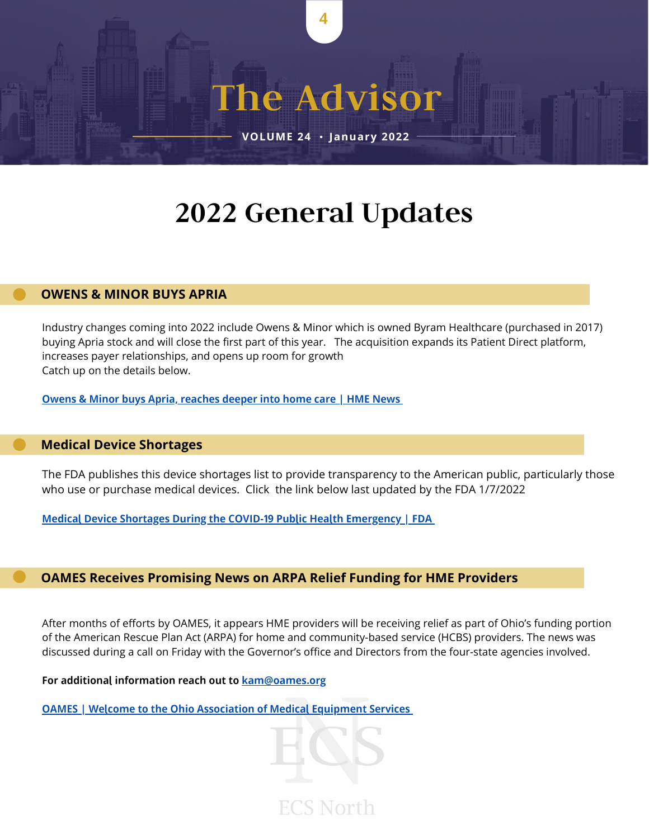### **2022 General Updates**

4

**The Advisor**

**VOLUME <sup>24</sup>** . **January <sup>2022</sup>**

#### **OWENS & MINOR BUYS APRIA**

Industry changes coming into 2022 include Owens & Minor which is owned Byram Healthcare (purchased in 2017) buying Apria stock and will close the first part of this year. The acquisition expands its Patient Direct platform, increases payer relationships, and opens up room for growth Catch up on the details below.

Owens & Minor buys Apria, [reaches](https://www.hmenews.com/article/owens-minor-buys-apria-reaches-deeper-into-home-care) deeper into home care | HME News

#### **[Medical Device Shortages](https://www.fda.gov/medical-devices/coronavirus-covid-19-and-medical-devices/medical-device-shortages-during-covid-19-public-health-emergency)**

The FDA publishes this device shortages list to provide transparency to the American public, particularly those who use or purchase medical devices. Click the link below last updated by the FDA 1/7/2022

Medical Device Shortages During the COVID-19 Public Health [Emergency](https://www.fda.gov/medical-devices/coronavirus-covid-19-and-medical-devices/medical-device-shortages-during-covid-19-public-health-emergency) | FDA

#### **OAMES Receives Promising News on ARPA Relief Funding for HME Providers**

After months of efforts by OAMES, it appears HME providers will be receiving relief as part of Ohio's funding portion of the American Rescue Plan Act (ARPA) for home and community-based service (HCBS) providers. The news was discussed during a call on Friday with the Governor's office and Directors from the four-state agencies involved.

**ECS North** 

For additional information reach out to **[kam@oames.org](mailto:kam@oames.org)** 

OAMES | Welcome to the Ohio [Association](http://www.oames.org/aws/OAMES/pt/sp/home_page) of Medical Equipment Services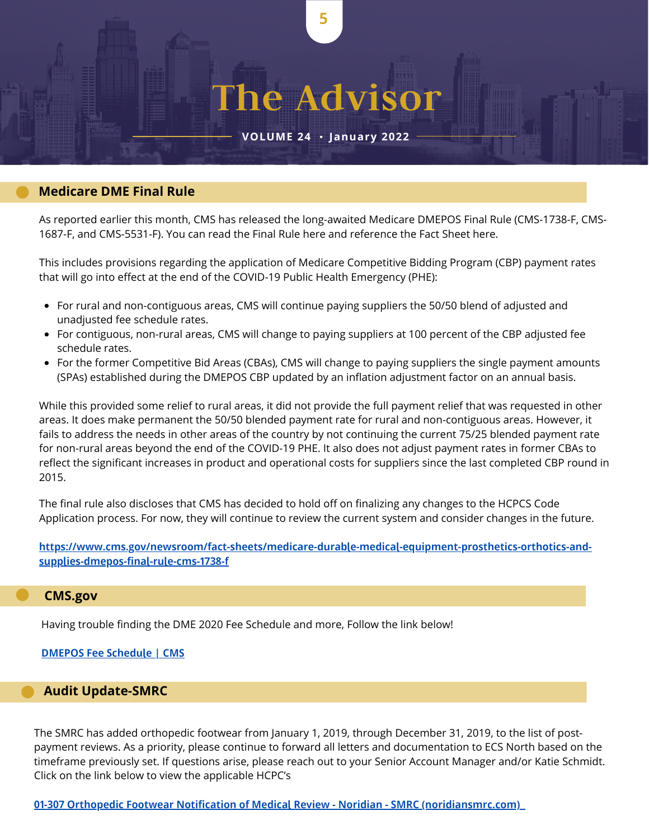# **The Advisor**

5

**VOLUME <sup>24</sup>** . **January <sup>2022</sup>**

#### **Medicare DME Final Rule**

As reported earlier this month, CMS has released the long-awaited Medicare DMEPOS Final Rule (CMS-1738-F, CMS-1687-F, and CMS-5531-F). You can read the Final Rule [here](https://r20.rs6.net/tn.jsp?f=001sgX1CLQNUlFW3Gc13RHHZodQAmxdB6UhwNfS9fqCEmi1i2KP4o7CRGJ5V2rs2XkO8jCOpjs7eggHZm6YV9-Vc3KDJHFBJz_kbiaEQIOBsRXU1BoX4x_8aRTZWuyV_rtzs1WkhThfRaprLtO7YKp9HWeMki-mzoN6kDHOnIsC1LSua3CuIponqAQ7MybY0YZdyDhs-NSa2LXrgtL8EX_0VpIoHMHunjE6jcgNEz067D8=&c=C9hRlKUEv_b7j607LDLPOmRzhq_iiW0nDumXFvOPC2S60GMf-nnkfQ==&ch=ciVX7NQmS8LH6tZ0SX7n3qP9rKkMKzqpb_6aKynWq4ccWfUPtPVN-A==) and reference the Fact Sheet [here](https://r20.rs6.net/tn.jsp?f=001sgX1CLQNUlFW3Gc13RHHZodQAmxdB6UhwNfS9fqCEmi1i2KP4o7CRGJ5V2rs2XkOaj7plNAdLJYZQ6QTUj8mDNA22Za8szEWShTGTdskxihew-uC-SU342Whs_GT3MwRLLBcyIZbuuX6F_Pl6BrbAVD4QP1rpouQYktr60n8ZTxwZh7vnN4UbnP65JLn6W79gmC6t-VHJBkTA4IxrzMmYrvm1fT0A2i-ppnbuSqWVfk=&c=C9hRlKUEv_b7j607LDLPOmRzhq_iiW0nDumXFvOPC2S60GMf-nnkfQ==&ch=ciVX7NQmS8LH6tZ0SX7n3qP9rKkMKzqpb_6aKynWq4ccWfUPtPVN-A==).

This includes provisions regarding the application of Medicare Competitive Bidding Program (CBP) payment rates that will go into effect at the end of the COVID-19 Public Health Emergency (PHE):

- For rural and non-contiguous areas, CMS will continue paying suppliers the 50/50 blend of adjusted and unadjusted fee schedule rates.
- For contiguous, non-rural areas, CMS will change to paying suppliers at 100 percent of the CBP adjusted fee schedule rates.
- For the former Competitive Bid Areas (CBAs), CMS will change to paying suppliers the single payment amounts (SPAs) established during the DMEPOS CBP updated by an inflation adjustment factor on an annual basis.

While this provided some relief to rural areas, it did not provide the full payment relief that was requested in other areas. It does make permanent the 50/50 blended payment rate for rural and non-contiguous areas. However, it fails to address the needs in other areas of the country by not continuing the current 75/25 blended payment rate for non-rural areas beyond the end of the COVID-19 PHE. It also does not adjust payment rates in former CBAs to reflect the significant increases in product and operational costs for suppliers since the last completed CBP round in 2015.

The final rule also discloses that CMS has decided to hold off on finalizing any changes to the HCPCS Code Application process. For now, they will continue to review the current system and consider changes in the future.

https://www.cms.gov/newsroom/fact-sheets/medicare-durable-medical-equipment-prosthetics-orthotics-andsupplies-dmepos-final-rule-cms-1738-f

#### **CMS.gov**

Having trouble finding the DME 2020 Fee Schedule and more, Follow the link below!

#### DMEPOS Fee [Schedule](https://www.cms.gov/Medicare/Medicare-Fee-for-Service-Payment/DMEPOSFeeSched/DMEPOS-Fee-Schedule) | CMS

#### **Audit Update-SMRC**

The SMRC has added orthopedic footwear from January 1, 2019, through December 31, 2019, to the list of postpayment reviews. As a priority, please continue to forward all letters and documentation to ECS North based on the timeframe previously set. If questions arise, please reach out to your Senior Account Manager and/or Katie Schmidt. Click on the link below to view the applicable HCPC's

01-307 Orthopedic Footwear Notification of Medical Review - Noridian - SMRC [\(noridiansmrc.com\)](https://www.noridiansmrc.com/current-projects/01-307/)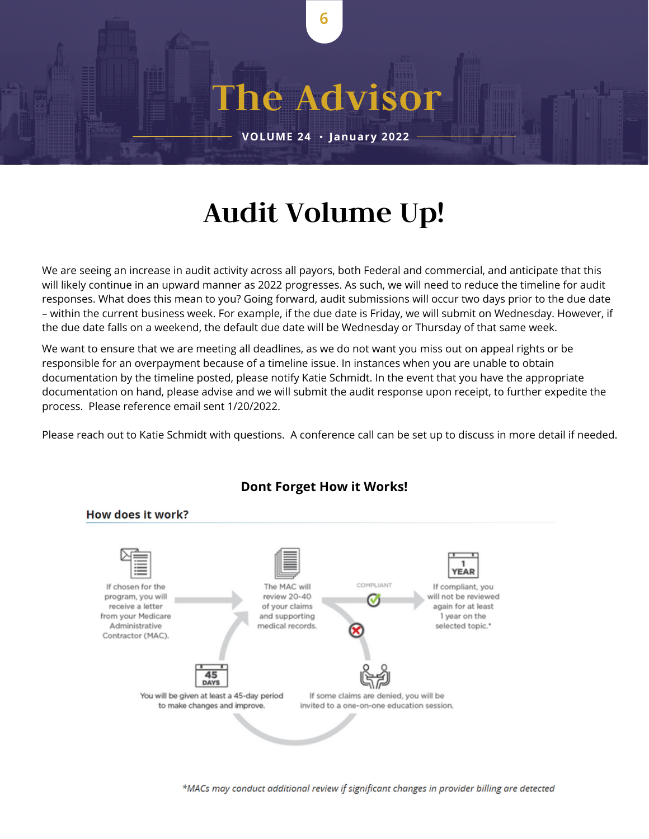## **Audit Volume Up!**

6

**The Advisor**

**VOLUME <sup>24</sup>** . **January <sup>2022</sup>**

We are seeing an increase in audit activity across all payors, both Federal and commercial, and anticipate that this will likely continue in an upward manner as 2022 progresses. As such, we will need to reduce the timeline for audit responses. What does this mean to you? Going forward, audit submissions will occur two days prior to the due date – within the current business week. For example, if the due date is Friday, we will submit on Wednesday. However, if the due date falls on a weekend, the default due date will be Wednesday or Thursday of that same week.

We want to ensure that we are meeting all deadlines, as we do not want you miss out on appeal rights or be responsible for an overpayment because of a timeline issue. In instances when you are unable to obtain documentation by the timeline posted, please notify Katie Schmidt. In the event that you have the appropriate documentation on hand, please advise and we will submit the audit response upon receipt, to further expedite the process. Please reference email sent 1/20/2022.

Please reach out to Katie Schmidt with questions. A conference call can be set up to discuss in more detail if needed.



#### **Dont Forget How it Works!**

\*MACs may conduct additional review if significant changes in provider billing are detected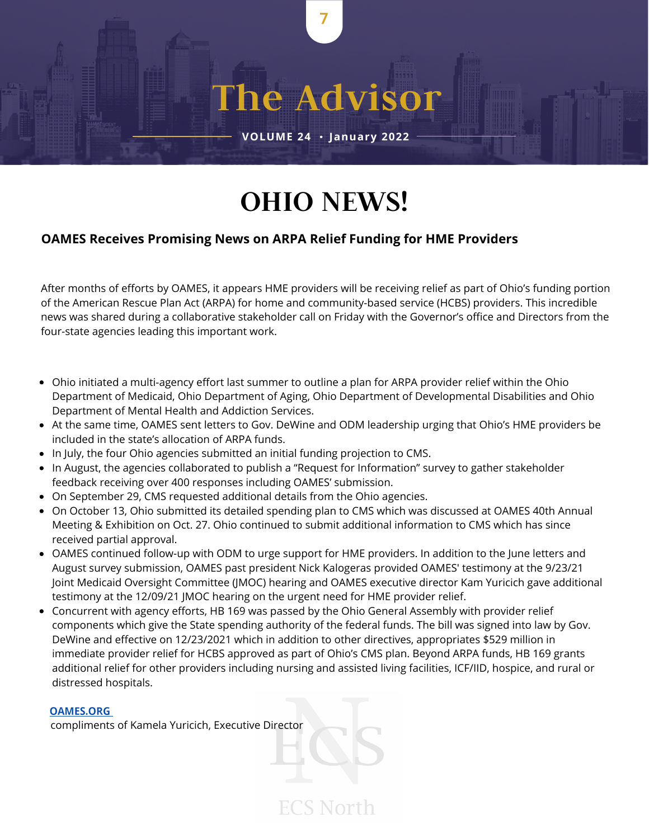### **OHIO NEWS!**

7

**The Advisor**

**VOLUME <sup>24</sup>** . **January <sup>2022</sup>**

#### e **OAMES Receives Promising News on ARPA Relief Funding for HME Providers**

After months of efforts by OAMES, it appears HME providers will be receiving relief as part of Ohio's funding portion of the American Rescue Plan Act (ARPA) for home and community-based service (HCBS) providers. This incredible news was shared during a collaborative stakeholder call on Friday with the Governor's office and Directors from the four-state agencies leading this important work.

- Ohio initiated a multi-agency effort last summer to outline a plan for ARPA provider relief within the Ohio Department of Medicaid, Ohio Department of Aging, Ohio Department of Developmental Disabilities and Ohio Department of Mental Health and Addiction Services.
- At the same time, [OAMES](https://linkprotect.cudasvc.com/url?a=https%3a%2f%2fassociationdatabase.com%2faws%2fOAMES%2febulletin%2fview_mail%2f186944%2f918102&c=E,1,G7BTOmVCLrPC-Z1P0CwtYZIl5jrZrhnQkra2JdGFLmnmeWjcQcxmKHAP1ZsusaqmXbuBKiTPOQaXFok0aH3-TjTn7X9agp72I2pqpk8XNE4,&typo=1) sent letters to Gov. DeWine and ODM leadership urging that Ohio's HME providers be included in the state's allocation of ARPA funds.
- In July, the four Ohio agencies submitted an initial funding projection to CMS.
- In August, the agencies collaborated to publish a "Request for Information" survey to gather stakeholder feedback receiving over 400 responses including OAMES' [submission.](https://linkprotect.cudasvc.com/url?a=https%3a%2f%2fassociationdatabase.com%2faws%2fOAMES%2fasset_manager%2fget_file%2f608583%3fver%3d0&c=E,1,8FiJ1KK6Vs_z9KZrMfF40d6vFdvoN_3WiEm9Gjy2ndKniuDjwiVajPof9OXsn47mdV05T2b06qBM79W9YWCJjnB2G7BLwjH-8xLR4rbk&typo=1)
- On September 29, CMS requested additional details from the Ohio agencies.
- On October 13, Ohio submitted its detailed [spending](https://medicaid.ohio.gov/static/Stakeholders%2C+Partners/initiatives/HCBS+Spending+Narrative.pdf) plan to CMS which was discussed at OAMES 40th Annual Meeting & Exhibition on Oct. 27. Ohio continued to submit additional information to CMS which has since received partial approval.
- OAMES continued follow-up with ODM to urge support for HME providers. In addition to the June letters and August survey submission, OAMES past president Nick Kalogeras provided OAMES' [testimony](https://linkprotect.cudasvc.com/url?a=https%3a%2f%2fassociationdatabase.com%2faws%2fOAMES%2fasset_manager%2fget_file%2f617455%3fver%3d0&c=E,1,PCIeXpvTuU34a_C7H3eTzDed-8SCYi_NuBxXYEev7VxpJ7Wdq0ADk0ElYou_dVkmUa-H_OmyvBuc_BdXbGZO7NmMXw4uVv19dxkZ2nnYsXF8NEg,&typo=1) at the 9/23/21 Joint Medicaid Oversight [Committee](https://linkprotect.cudasvc.com/url?a=https%3a%2f%2fassociationdatabase.com%2faws%2fOAMES%2fasset_manager%2fget_file%2f645596%3fver%3d0&c=E,1,s1_gJmraYwejZ7Ev5vBaBpDCjtCc9jqtjYu3PTjlGEswADpJV7GukUkIwextDA8urUZLSmC9t3e-l9QVm4jwLg1h18Hy9ZHPgAsyHpyCrdx8&typo=1) (JMOC) hearing and OAMES executive director Kam Yuricich gave additional testimony at the 12/09/21 JMOC hearing on the urgent need for HME provider relief.
- Concurrent with agency efforts, HB [169](https://linkprotect.cudasvc.com/url?a=https%3a%2f%2fsearch-prod.lis.state.oh.us%2fsolarapi%2fv1%2fgeneral_assembly_134%2fbills%2fhb169%2fEN%2f07%2fhb169_07_EN%3fformat%3dpdf&c=E,1,COONxKipHlP7kuqFGnaYb7gFgNtJrORv2f0duGBlaFUR2GeBUnNIpHcsCvuSdJt8Wqssb9PMX8LE65sO8enxE0k4fmuyL9iONJpxPbuMqvsTD7E-NWs5DPw,&typo=1) was passed by the Ohio General Assembly with provider relief components which give the State spending authority of the federal funds. The bill was signed into law by Gov. DeWine and effective on 12/23/2021 which in addition to other directives, appropriates \$529 million in immediate provider relief for HCBS approved as part of Ohio's CMS plan. Beyond ARPA funds, HB 169 grants additional relief for other providers including nursing and assisted living facilities, ICF/IID, hospice, and rural or distressed hospitals.

**ECS North** 

#### [OAMES.ORG](http://oames.org/aws/OAMES/pt/sp/home_page)

compliments of Kamela Yuricich, Executive Director